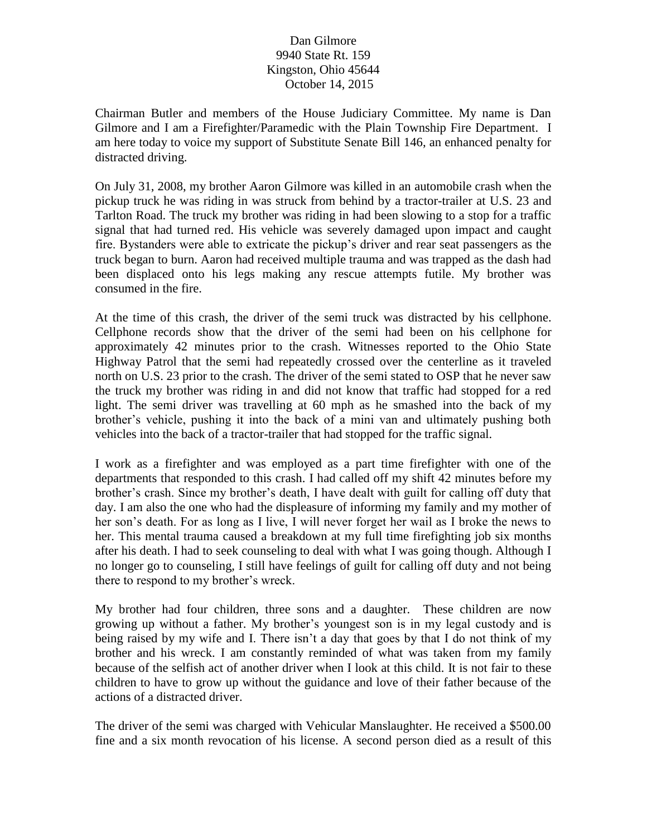## Dan Gilmore 9940 State Rt. 159 Kingston, Ohio 45644 October 14, 2015

Chairman Butler and members of the House Judiciary Committee. My name is Dan Gilmore and I am a Firefighter/Paramedic with the Plain Township Fire Department. I am here today to voice my support of Substitute Senate Bill 146, an enhanced penalty for distracted driving.

On July 31, 2008, my brother Aaron Gilmore was killed in an automobile crash when the pickup truck he was riding in was struck from behind by a tractor-trailer at U.S. 23 and Tarlton Road. The truck my brother was riding in had been slowing to a stop for a traffic signal that had turned red. His vehicle was severely damaged upon impact and caught fire. Bystanders were able to extricate the pickup's driver and rear seat passengers as the truck began to burn. Aaron had received multiple trauma and was trapped as the dash had been displaced onto his legs making any rescue attempts futile. My brother was consumed in the fire.

At the time of this crash, the driver of the semi truck was distracted by his cellphone. Cellphone records show that the driver of the semi had been on his cellphone for approximately 42 minutes prior to the crash. Witnesses reported to the Ohio State Highway Patrol that the semi had repeatedly crossed over the centerline as it traveled north on U.S. 23 prior to the crash. The driver of the semi stated to OSP that he never saw the truck my brother was riding in and did not know that traffic had stopped for a red light. The semi driver was travelling at 60 mph as he smashed into the back of my brother's vehicle, pushing it into the back of a mini van and ultimately pushing both vehicles into the back of a tractor-trailer that had stopped for the traffic signal.

I work as a firefighter and was employed as a part time firefighter with one of the departments that responded to this crash. I had called off my shift 42 minutes before my brother's crash. Since my brother's death, I have dealt with guilt for calling off duty that day. I am also the one who had the displeasure of informing my family and my mother of her son's death. For as long as I live, I will never forget her wail as I broke the news to her. This mental trauma caused a breakdown at my full time firefighting job six months after his death. I had to seek counseling to deal with what I was going though. Although I no longer go to counseling, I still have feelings of guilt for calling off duty and not being there to respond to my brother's wreck.

My brother had four children, three sons and a daughter. These children are now growing up without a father. My brother's youngest son is in my legal custody and is being raised by my wife and I. There isn't a day that goes by that I do not think of my brother and his wreck. I am constantly reminded of what was taken from my family because of the selfish act of another driver when I look at this child. It is not fair to these children to have to grow up without the guidance and love of their father because of the actions of a distracted driver.

The driver of the semi was charged with Vehicular Manslaughter. He received a \$500.00 fine and a six month revocation of his license. A second person died as a result of this